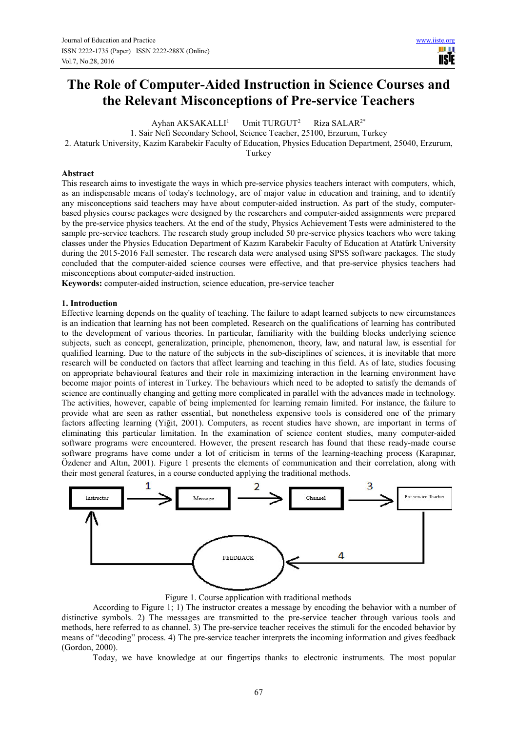# **The Role of Computer-Aided Instruction in Science Courses and the Relevant Misconceptions of Pre-service Teachers**

Ayhan  $AKSAKALLI<sup>1</sup>$  Umit TURGUT<sup>2</sup> Riza SALAR2\*

1. Sair Nefi Secondary School, Science Teacher, 25100, Erzurum, Turkey

2. Ataturk University, Kazim Karabekir Faculty of Education, Physics Education Department, 25040, Erzurum,

Turkey

#### **Abstract**

This research aims to investigate the ways in which pre-service physics teachers interact with computers, which, as an indispensable means of today's technology, are of major value in education and training, and to identify any misconceptions said teachers may have about computer-aided instruction. As part of the study, computerbased physics course packages were designed by the researchers and computer-aided assignments were prepared by the pre-service physics teachers. At the end of the study, Physics Achievement Tests were administered to the sample pre-service teachers. The research study group included 50 pre-service physics teachers who were taking classes under the Physics Education Department of Kazım Karabekir Faculty of Education at Atatürk University during the 2015-2016 Fall semester. The research data were analysed using SPSS software packages. The study concluded that the computer-aided science courses were effective, and that pre-service physics teachers had misconceptions about computer-aided instruction.

**Keywords:** computer-aided instruction, science education, pre-service teacher

## **1. Introduction**

Effective learning depends on the quality of teaching. The failure to adapt learned subjects to new circumstances is an indication that learning has not been completed. Research on the qualifications of learning has contributed to the development of various theories. In particular, familiarity with the building blocks underlying science subjects, such as concept, generalization, principle, phenomenon, theory, law, and natural law, is essential for qualified learning. Due to the nature of the subjects in the sub-disciplines of sciences, it is inevitable that more research will be conducted on factors that affect learning and teaching in this field. As of late, studies focusing on appropriate behavioural features and their role in maximizing interaction in the learning environment have become major points of interest in Turkey. The behaviours which need to be adopted to satisfy the demands of science are continually changing and getting more complicated in parallel with the advances made in technology. The activities, however, capable of being implemented for learning remain limited. For instance, the failure to provide what are seen as rather essential, but nonetheless expensive tools is considered one of the primary factors affecting learning (Yiğit, 2001). Computers, as recent studies have shown, are important in terms of eliminating this particular limitation. In the examination of science content studies, many computer-aided software programs were encountered. However, the present research has found that these ready-made course software programs have come under a lot of criticism in terms of the learning-teaching process (Karapınar, Özdener and Altın, 2001). Figure 1 presents the elements of communication and their correlation, along with their most general features, in a course conducted applying the traditional methods.



Figure 1. Course application with traditional methods

According to Figure 1; 1) The instructor creates a message by encoding the behavior with a number of distinctive symbols. 2) The messages are transmitted to the pre-service teacher through various tools and methods, here referred to as channel. 3) The pre-service teacher receives the stimuli for the encoded behavior by means of "decoding" process. 4) The pre-service teacher interprets the incoming information and gives feedback (Gordon, 2000).

Today, we have knowledge at our fingertips thanks to electronic instruments. The most popular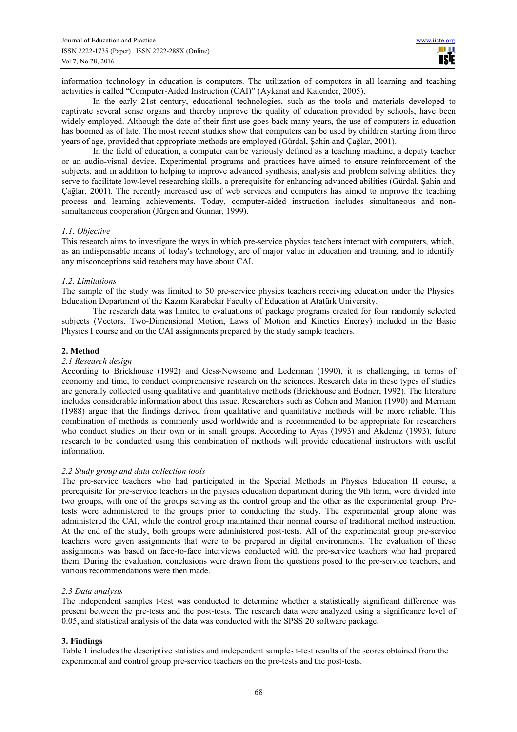information technology in education is computers. The utilization of computers in all learning and teaching activities is called "Computer-Aided Instruction (CAI)" (Aykanat and Kalender, 2005).

In the early 21st century, educational technologies, such as the tools and materials developed to captivate several sense organs and thereby improve the quality of education provided by schools, have been widely employed. Although the date of their first use goes back many years, the use of computers in education has boomed as of late. The most recent studies show that computers can be used by children starting from three years of age, provided that appropriate methods are employed (Gürdal, Şahin and Çağlar, 2001).

In the field of education, a computer can be variously defined as a teaching machine, a deputy teacher or an audio-visual device. Experimental programs and practices have aimed to ensure reinforcement of the subjects, and in addition to helping to improve advanced synthesis, analysis and problem solving abilities, they serve to facilitate low-level researching skills, a prerequisite for enhancing advanced abilities (Gürdal, Şahin and Çağlar, 2001). The recently increased use of web services and computers has aimed to improve the teaching process and learning achievements. Today, computer-aided instruction includes simultaneous and nonsimultaneous cooperation (Jürgen and Gunnar, 1999).

# *1.1. Objective*

This research aims to investigate the ways in which pre-service physics teachers interact with computers, which, as an indispensable means of today's technology, are of major value in education and training, and to identify any misconceptions said teachers may have about CAI.

#### *1.2. Limitations*

The sample of the study was limited to 50 pre-service physics teachers receiving education under the Physics Education Department of the Kazım Karabekir Faculty of Education at Atatürk University.

The research data was limited to evaluations of package programs created for four randomly selected subjects (Vectors, Two-Dimensional Motion, Laws of Motion and Kinetics Energy) included in the Basic Physics I course and on the CAI assignments prepared by the study sample teachers.

## **2. Method**

#### *2.1 Research design*

According to Brickhouse (1992) and Gess-Newsome and Lederman (1990), it is challenging, in terms of economy and time, to conduct comprehensive research on the sciences. Research data in these types of studies are generally collected using qualitative and quantitative methods (Brickhouse and Bodner, 1992). The literature includes considerable information about this issue. Researchers such as Cohen and Manion (1990) and Merriam (1988) argue that the findings derived from qualitative and quantitative methods will be more reliable. This combination of methods is commonly used worldwide and is recommended to be appropriate for researchers who conduct studies on their own or in small groups. According to Ayas (1993) and Akdeniz (1993), future research to be conducted using this combination of methods will provide educational instructors with useful information.

#### *2.2 Study group and data collection tools*

The pre-service teachers who had participated in the Special Methods in Physics Education II course, a prerequisite for pre-service teachers in the physics education department during the 9th term, were divided into two groups, with one of the groups serving as the control group and the other as the experimental group. Pretests were administered to the groups prior to conducting the study. The experimental group alone was administered the CAI, while the control group maintained their normal course of traditional method instruction. At the end of the study, both groups were administered post-tests. All of the experimental group pre-service teachers were given assignments that were to be prepared in digital environments. The evaluation of these assignments was based on face-to-face interviews conducted with the pre-service teachers who had prepared them. During the evaluation, conclusions were drawn from the questions posed to the pre-service teachers, and various recommendations were then made.

#### *2.3 Data analysis*

The independent samples t-test was conducted to determine whether a statistically significant difference was present between the pre-tests and the post-tests. The research data were analyzed using a significance level of 0.05, and statistical analysis of the data was conducted with the SPSS 20 software package.

# **3. Findings**

Table 1 includes the descriptive statistics and independent samples t-test results of the scores obtained from the experimental and control group pre-service teachers on the pre-tests and the post-tests.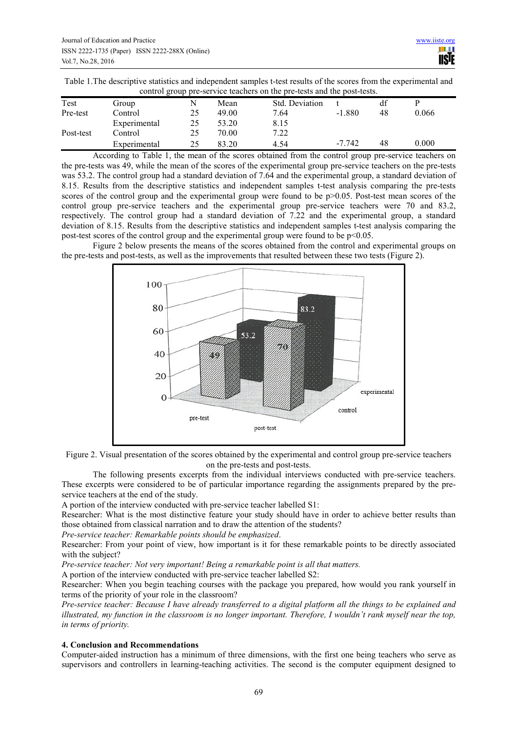Table 1.The descriptive statistics and independent samples t-test results of the scores from the experimental and control group pre-service teachers on the pre-tests and the post-tests.

| Test      | Group        | N  | Mean  | Std. Deviation |          | df |       |  |
|-----------|--------------|----|-------|----------------|----------|----|-------|--|
| Pre-test  | Control      | 25 | 49.00 | 7.64           | $-1.880$ | 48 | 0.066 |  |
|           | Experimental | 25 | 53.20 | 8.15           |          |    |       |  |
| Post-test | Control      | 25 | 70.00 | 7.22           |          |    |       |  |
|           | Experimental | 25 | 83.20 | 4.54           | $-7.742$ | 48 | 0.000 |  |

According to Table 1, the mean of the scores obtained from the control group pre-service teachers on the pre-tests was 49, while the mean of the scores of the experimental group pre-service teachers on the pre-tests was 53.2. The control group had a standard deviation of 7.64 and the experimental group, a standard deviation of 8.15. Results from the descriptive statistics and independent samples t-test analysis comparing the pre-tests scores of the control group and the experimental group were found to be p>0.05. Post-test mean scores of the control group pre-service teachers and the experimental group pre-service teachers were 70 and 83.2, respectively. The control group had a standard deviation of 7.22 and the experimental group, a standard deviation of 8.15. Results from the descriptive statistics and independent samples t-test analysis comparing the post-test scores of the control group and the experimental group were found to be  $p<0.05$ .

Figure 2 below presents the means of the scores obtained from the control and experimental groups on the pre-tests and post-tests, as well as the improvements that resulted between these two tests (Figure 2).





The following presents excerpts from the individual interviews conducted with pre-service teachers. These excerpts were considered to be of particular importance regarding the assignments prepared by the preservice teachers at the end of the study.

A portion of the interview conducted with pre-service teacher labelled S1:

Researcher: What is the most distinctive feature your study should have in order to achieve better results than those obtained from classical narration and to draw the attention of the students?

*Pre-service teacher: Remarkable points should be emphasized*.

Researcher: From your point of view, how important is it for these remarkable points to be directly associated with the subject?

*Pre-service teacher: Not very important! Being a remarkable point is all that matters.* 

A portion of the interview conducted with pre-service teacher labelled S2:

Researcher: When you begin teaching courses with the package you prepared, how would you rank yourself in terms of the priority of your role in the classroom?

*Pre-service teacher: Because I have already transferred to a digital platform all the things to be explained and illustrated, my function in the classroom is no longer important. Therefore, I wouldn't rank myself near the top, in terms of priority.* 

# **4. Conclusion and Recommendations**

Computer-aided instruction has a minimum of three dimensions, with the first one being teachers who serve as supervisors and controllers in learning-teaching activities. The second is the computer equipment designed to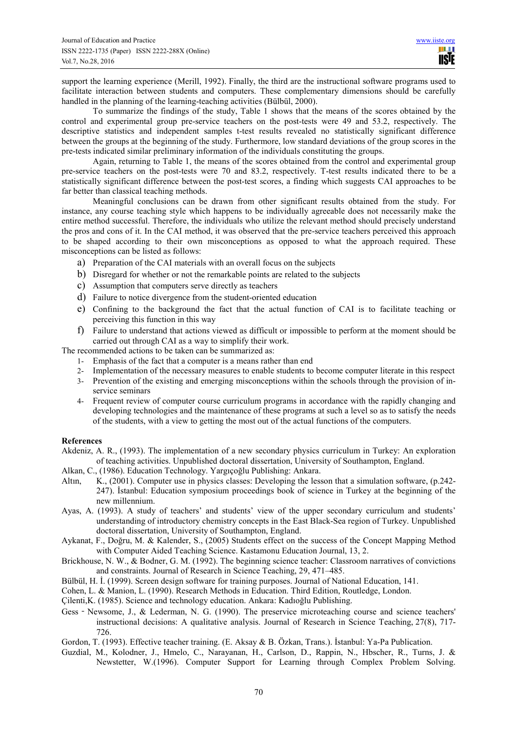support the learning experience (Merill, 1992). Finally, the third are the instructional software programs used to facilitate interaction between students and computers. These complementary dimensions should be carefully handled in the planning of the learning-teaching activities (Bülbül, 2000).

To summarize the findings of the study, Table 1 shows that the means of the scores obtained by the control and experimental group pre-service teachers on the post-tests were 49 and 53.2, respectively. The descriptive statistics and independent samples t-test results revealed no statistically significant difference between the groups at the beginning of the study. Furthermore, low standard deviations of the group scores in the pre-tests indicated similar preliminary information of the individuals constituting the groups.

Again, returning to Table 1, the means of the scores obtained from the control and experimental group pre-service teachers on the post-tests were 70 and 83.2, respectively. T-test results indicated there to be a statistically significant difference between the post-test scores, a finding which suggests CAI approaches to be far better than classical teaching methods.

Meaningful conclusions can be drawn from other significant results obtained from the study. For instance, any course teaching style which happens to be individually agreeable does not necessarily make the entire method successful. Therefore, the individuals who utilize the relevant method should precisely understand the pros and cons of it. In the CAI method, it was observed that the pre-service teachers perceived this approach to be shaped according to their own misconceptions as opposed to what the approach required. These misconceptions can be listed as follows:

- a) Preparation of the CAI materials with an overall focus on the subjects
- b) Disregard for whether or not the remarkable points are related to the subjects
- c) Assumption that computers serve directly as teachers
- d) Failure to notice divergence from the student-oriented education
- e) Confining to the background the fact that the actual function of CAI is to facilitate teaching or perceiving this function in this way
- f) Failure to understand that actions viewed as difficult or impossible to perform at the moment should be carried out through CAI as a way to simplify their work.

The recommended actions to be taken can be summarized as:

- 1- Emphasis of the fact that a computer is a means rather than end
- 2- Implementation of the necessary measures to enable students to become computer literate in this respect
- 3- Prevention of the existing and emerging misconceptions within the schools through the provision of inservice seminars
- 4- Frequent review of computer course curriculum programs in accordance with the rapidly changing and developing technologies and the maintenance of these programs at such a level so as to satisfy the needs of the students, with a view to getting the most out of the actual functions of the computers.

# **References**

- Akdeniz, A. R., (1993). The implementation of a new secondary physics curriculum in Turkey: An exploration of teaching activities. Unpublished doctoral dissertation, University of Southampton, England.
- Alkan, C., (1986). Education Technology. Yargıçoğlu Publishing: Ankara.
- Altın, K., (2001). Computer use in physics classes: Developing the lesson that a simulation software, (p.242- 247). İstanbul: Education symposium proceedings book of science in Turkey at the beginning of the new millennium.
- Ayas, A. (1993). A study of teachers' and students' view of the upper secondary curriculum and students' understanding of introductory chemistry concepts in the East Black-Sea region of Turkey. Unpublished doctoral dissertation, University of Southampton, England.
- Aykanat, F., Doğru, M. & Kalender, S., (2005) Students effect on the success of the Concept Mapping Method with Computer Aided Teaching Science. Kastamonu Education Journal, 13, 2.
- Brickhouse, N. W., & Bodner, G. M. (1992). The beginning science teacher: Classroom narratives of convictions and constraints. Journal of Research in Science Teaching, 29, 471–485.
- Bülbül, H. İ. (1999). Screen design software for training purposes. Journal of National Education, 141.
- Cohen, L. & Manion, L. (1990). Research Methods in Education. Third Edition, Routledge, London.
- Çilenti,K. (1985). Science and technology education. Ankara: Kadıoğlu Publishing.
- Gess Newsome, J., & Lederman, N. G. (1990). The preservice microteaching course and science teachers' instructional decisions: A qualitative analysis. Journal of Research in Science Teaching, 27(8), 717- 726.
- Gordon, T. (1993). Effective teacher training. (E. Aksay & B. Özkan, Trans.). İstanbul: Ya-Pa Publication.
- Guzdial, M., Kolodner, J., Hmelo, C., Narayanan, H., Carlson, D., Rappin, N., Hbscher, R., Turns, J. & Newstetter, W.(1996). Computer Support for Learning through Complex Problem Solving.